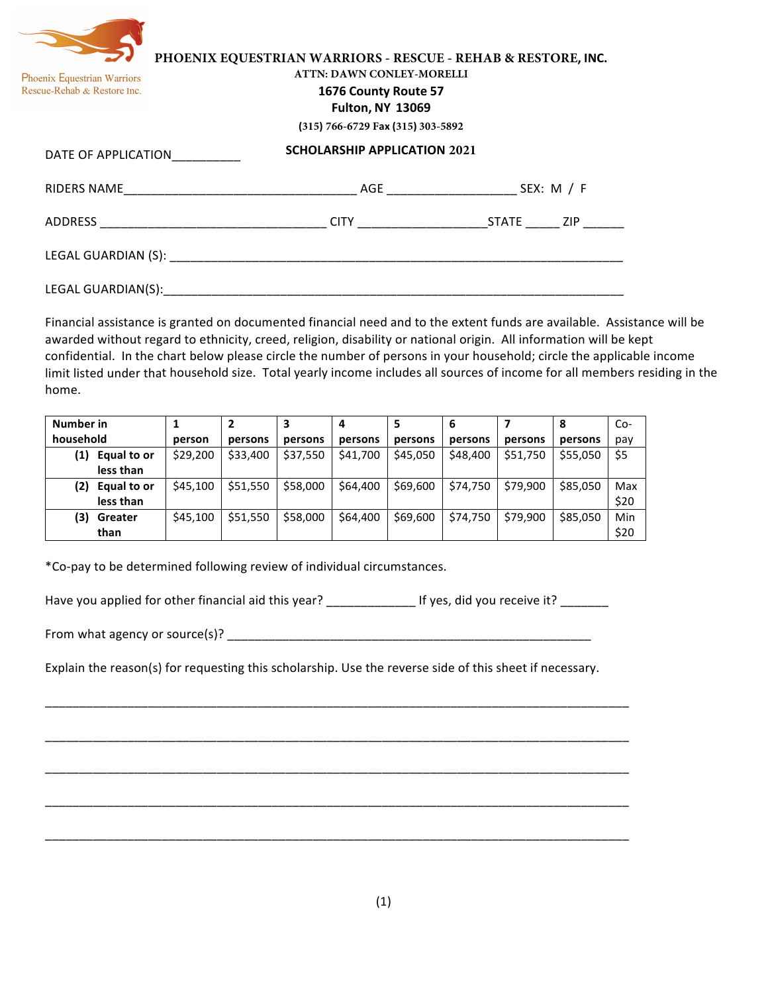| Phoenix Equestrian Warriors<br>Rescue-Rehab & Restore Inc. | <b>Fulton, NY 13069</b>                                                                                                                                                                                                        | PHOENIX EQUESTRIAN WARRIORS - RESCUE - REHAB & RESTORE, INC.<br><b>ATTN: DAWN CONLEY-MORELLI</b><br>1676 County Route 57<br>(315) 766-6729 Fax (315) 303-5892 |  |
|------------------------------------------------------------|--------------------------------------------------------------------------------------------------------------------------------------------------------------------------------------------------------------------------------|---------------------------------------------------------------------------------------------------------------------------------------------------------------|--|
| DATE OF APPLICATION                                        | <b>SCHOLARSHIP APPLICATION 2021</b>                                                                                                                                                                                            |                                                                                                                                                               |  |
|                                                            |                                                                                                                                                                                                                                |                                                                                                                                                               |  |
| ADDRESS                                                    |                                                                                                                                                                                                                                |                                                                                                                                                               |  |
|                                                            | LEGAL GUARDIAN (S): The contract of the contract of the contract of the contract of the contract of the contract of the contract of the contract of the contract of the contract of the contract of the contract of the contra |                                                                                                                                                               |  |

Financial assistance is granted on documented financial need and to the extent funds are available. Assistance will be awarded without regard to ethnicity, creed, religion, disability or national origin. All information will be kept confidential. In the chart below please circle the number of persons in your household; circle the applicable income limit listed under that household size. Total yearly income includes all sources of income for all members residing in the home.

**Number** in **household 1 person 2 persons 3 persons 4 persons 5 persons 6 persons 7 persons 8 persons** Copay **(1) Equal to or less than** \$29,200 | \$33,400 | \$37,550 | \$41,700 | \$45,050 | \$48,400 | \$51,750 | \$55,050 | \$5 **(2) Equal to or less than**  $\frac{1}{5}$ 45,100  $\frac{1}{5}$  \$51,550  $\frac{1}{5}$  \$58,000  $\frac{1}{5}$  \$64,400  $\frac{1}{5}$  \$69,600  $\frac{1}{5}$  \$74,750  $\frac{1}{5}$  \$79,900  $\frac{1}{5}$  \$85,050  $\frac{1}{5}$  Max \$20 **(3) Greater than**  $\frac{1}{5}$ 45,100  $\frac{1}{5}$  \$51,550  $\frac{1}{5}$  \$58,000  $\frac{1}{5}$  \$64,400  $\frac{1}{5}$  \$69,600  $\frac{1}{5}$  \$74,750  $\frac{1}{5}$  \$79,900  $\frac{1}{5}$  \$85,050  $\frac{1}{5}$  Min \$20

\*Co-pay to be determined following review of individual circumstances.

LEGAL GUARDIAN(S):

Have you applied for other financial aid this year? \_\_\_\_\_\_\_\_\_\_\_\_\_\_\_\_\_\_\_\_If yes, did you receive it? \_\_\_\_\_\_\_\_\_

From what agency or source(s)? \_\_\_\_\_\_\_\_\_\_\_\_\_\_\_\_\_\_\_\_\_\_\_\_\_\_\_\_\_\_\_\_\_\_\_\_\_\_\_\_\_\_\_\_\_\_\_\_\_\_\_\_\_

Explain the reason(s) for requesting this scholarship. Use the reverse side of this sheet if necessary.

\_\_\_\_\_\_\_\_\_\_\_\_\_\_\_\_\_\_\_\_\_\_\_\_\_\_\_\_\_\_\_\_\_\_\_\_\_\_\_\_\_\_\_\_\_\_\_\_\_\_\_\_\_\_\_\_\_\_\_\_\_\_\_\_\_\_\_\_\_\_\_\_\_\_\_\_\_\_\_\_\_\_\_\_\_

\_\_\_\_\_\_\_\_\_\_\_\_\_\_\_\_\_\_\_\_\_\_\_\_\_\_\_\_\_\_\_\_\_\_\_\_\_\_\_\_\_\_\_\_\_\_\_\_\_\_\_\_\_\_\_\_\_\_\_\_\_\_\_\_\_\_\_\_\_\_\_\_\_\_\_\_\_\_\_\_\_\_\_\_\_

\_\_\_\_\_\_\_\_\_\_\_\_\_\_\_\_\_\_\_\_\_\_\_\_\_\_\_\_\_\_\_\_\_\_\_\_\_\_\_\_\_\_\_\_\_\_\_\_\_\_\_\_\_\_\_\_\_\_\_\_\_\_\_\_\_\_\_\_\_\_\_\_\_\_\_\_\_\_\_\_\_\_\_\_\_

\_\_\_\_\_\_\_\_\_\_\_\_\_\_\_\_\_\_\_\_\_\_\_\_\_\_\_\_\_\_\_\_\_\_\_\_\_\_\_\_\_\_\_\_\_\_\_\_\_\_\_\_\_\_\_\_\_\_\_\_\_\_\_\_\_\_\_\_\_\_\_\_\_\_\_\_\_\_\_\_\_\_\_\_\_

\_\_\_\_\_\_\_\_\_\_\_\_\_\_\_\_\_\_\_\_\_\_\_\_\_\_\_\_\_\_\_\_\_\_\_\_\_\_\_\_\_\_\_\_\_\_\_\_\_\_\_\_\_\_\_\_\_\_\_\_\_\_\_\_\_\_\_\_\_\_\_\_\_\_\_\_\_\_\_\_\_\_\_\_\_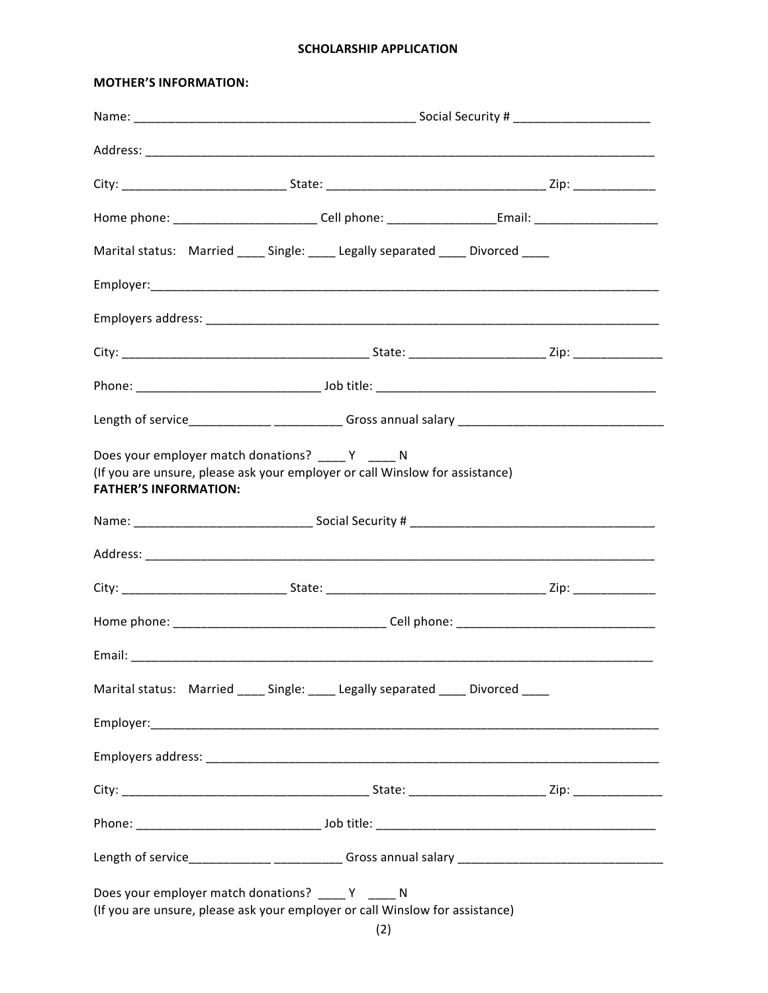## **SCHOLARSHIP APPLICATION**

## **MOTHER'S INFORMATION:**

| Marital status: Married _____ Single: _____ Legally separated _____ Divorced ____                                                                                   |  |  |  |
|---------------------------------------------------------------------------------------------------------------------------------------------------------------------|--|--|--|
|                                                                                                                                                                     |  |  |  |
|                                                                                                                                                                     |  |  |  |
|                                                                                                                                                                     |  |  |  |
|                                                                                                                                                                     |  |  |  |
| Length of service______________ _____________ Gross annual salary __________________________________                                                                |  |  |  |
| Does your employer match donations? _____ Y _____ N<br>(If you are unsure, please ask your employer or call Winslow for assistance)<br><b>FATHER'S INFORMATION:</b> |  |  |  |
|                                                                                                                                                                     |  |  |  |
|                                                                                                                                                                     |  |  |  |
|                                                                                                                                                                     |  |  |  |
|                                                                                                                                                                     |  |  |  |
|                                                                                                                                                                     |  |  |  |
| Marital status: Married ____ Single: ____ Legally separated ____ Divorced ____                                                                                      |  |  |  |
|                                                                                                                                                                     |  |  |  |
|                                                                                                                                                                     |  |  |  |
|                                                                                                                                                                     |  |  |  |
|                                                                                                                                                                     |  |  |  |
|                                                                                                                                                                     |  |  |  |
| Does your employer match donations? ____ Y ____ N<br>(If you are unsure, please ask your employer or call Winslow for assistance)                                   |  |  |  |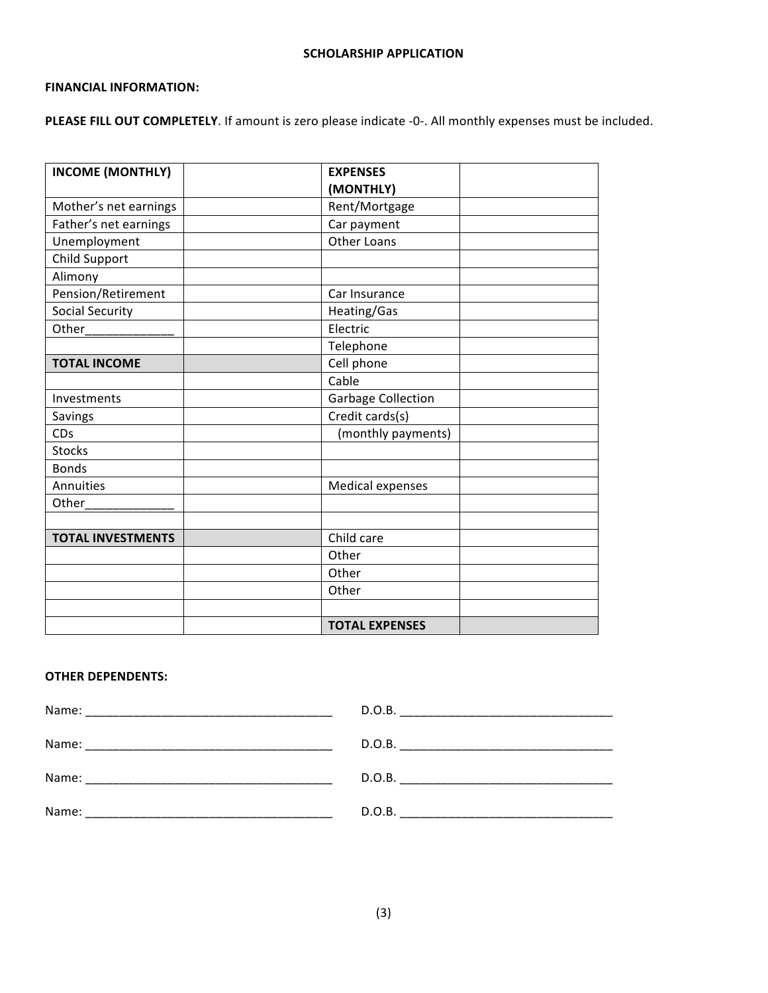## **FINANCIAL INFORMATION:**

PLEASE FILL OUT COMPLETELY. If amount is zero please indicate -0-. All monthly expenses must be included.

| <b>INCOME (MONTHLY)</b>  | <b>EXPENSES</b>           |  |
|--------------------------|---------------------------|--|
|                          | (MONTHLY)                 |  |
| Mother's net earnings    | Rent/Mortgage             |  |
| Father's net earnings    | Car payment               |  |
| Unemployment             | <b>Other Loans</b>        |  |
| Child Support            |                           |  |
| Alimony                  |                           |  |
| Pension/Retirement       | Car Insurance             |  |
| <b>Social Security</b>   | Heating/Gas               |  |
| Other________            | Electric                  |  |
|                          | Telephone                 |  |
| <b>TOTAL INCOME</b>      | Cell phone                |  |
|                          | Cable                     |  |
| Investments              | <b>Garbage Collection</b> |  |
| Savings                  | Credit cards(s)           |  |
| CDs                      | (monthly payments)        |  |
| <b>Stocks</b>            |                           |  |
| <b>Bonds</b>             |                           |  |
| Annuities                | <b>Medical expenses</b>   |  |
| Other                    |                           |  |
|                          |                           |  |
| <b>TOTAL INVESTMENTS</b> | Child care                |  |
|                          | Other                     |  |
|                          | Other                     |  |
|                          | Other                     |  |
|                          |                           |  |
|                          | <b>TOTAL EXPENSES</b>     |  |

# **OTHER DEPENDENTS:**

| Name: | D.O.B. |
|-------|--------|
|       |        |
| Name: | D.O.B. |
| Name: | D.O.B. |
| Name: | D.O.B. |
|       |        |